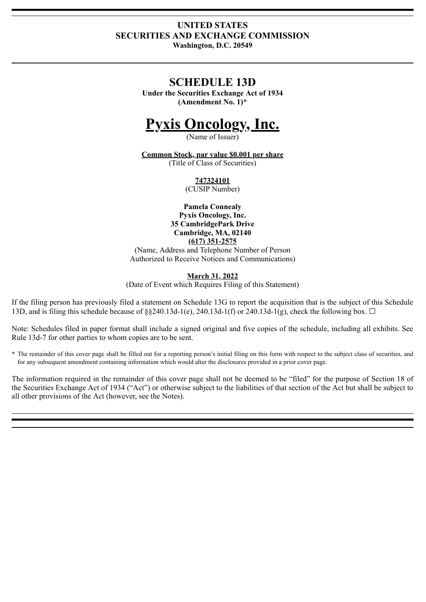## **UNITED STATES SECURITIES AND EXCHANGE COMMISSION Washington, D.C. 20549**

# **SCHEDULE 13D**

**Under the Securities Exchange Act of 1934 (Amendment No. 1)\***

# **Pyxis Oncology, Inc.**

(Name of Issuer)

**Common Stock, par value \$0.001 per share** (Title of Class of Securities)

> **747324101** (CUSIP Number)

**Pamela Connealy Pyxis Oncology, Inc. 35 CambridgePark Drive Cambridge, MA, 02140 (617) 351-2575**

(Name, Address and Telephone Number of Person Authorized to Receive Notices and Communications)

### **March 31, 2022**

(Date of Event which Requires Filing of this Statement)

If the filing person has previously filed a statement on Schedule 13G to report the acquisition that is the subject of this Schedule 13D, and is filing this schedule because of  $\S 240.13d-1(e)$ , 240.13d-1(f) or 240.13d-1(g), check the following box.  $\Box$ 

Note: Schedules filed in paper format shall include a signed original and five copies of the schedule, including all exhibits. See Rule 13d-7 for other parties to whom copies are to be sent.

\* The remainder of this cover page shall be filled out for a reporting person's initial filing on this form with respect to the subject class of securities, and for any subsequent amendment containing information which would alter the disclosures provided in a prior cover page.

The information required in the remainder of this cover page shall not be deemed to be "filed" for the purpose of Section 18 of the Securities Exchange Act of 1934 ("Act") or otherwise subject to the liabilities of that section of the Act but shall be subject to all other provisions of the Act (however, see the Notes).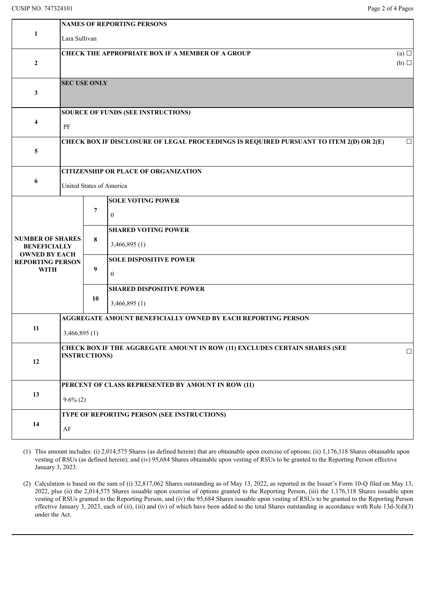|                                                 | <b>NAMES OF REPORTING PERSONS</b>                                                                |    |                                 |  |
|-------------------------------------------------|--------------------------------------------------------------------------------------------------|----|---------------------------------|--|
| 1                                               | Lara Sullivan                                                                                    |    |                                 |  |
|                                                 | CHECK THE APPROPRIATE BOX IF A MEMBER OF A GROUP                                                 |    |                                 |  |
| $\mathbf{2}$                                    | $(b)$ $\square$                                                                                  |    |                                 |  |
|                                                 | <b>SEC USE ONLY</b>                                                                              |    |                                 |  |
| 3                                               |                                                                                                  |    |                                 |  |
|                                                 | <b>SOURCE OF FUNDS (SEE INSTRUCTIONS)</b>                                                        |    |                                 |  |
| 4                                               | $\rm PF$                                                                                         |    |                                 |  |
| 5                                               | CHECK BOX IF DISCLOSURE OF LEGAL PROCEEDINGS IS REQUIRED PURSUANT TO ITEM 2(D) OR 2(E)<br>$\Box$ |    |                                 |  |
|                                                 |                                                                                                  |    |                                 |  |
| 6                                               | <b>CITIZENSHIP OR PLACE OF ORGANIZATION</b>                                                      |    |                                 |  |
|                                                 | United States of America                                                                         |    |                                 |  |
| <b>NUMBER OF SHARES</b><br><b>BENEFICIALLY</b>  |                                                                                                  | 7  | <b>SOLE VOTING POWER</b>        |  |
|                                                 |                                                                                                  |    | $\mathbf{0}$                    |  |
|                                                 |                                                                                                  |    | <b>SHARED VOTING POWER</b>      |  |
|                                                 |                                                                                                  | 8  | 3,466,895(1)                    |  |
| <b>OWNED BY EACH</b><br><b>REPORTING PERSON</b> |                                                                                                  | 9  | <b>SOLE DISPOSITIVE POWER</b>   |  |
| <b>WITH</b>                                     |                                                                                                  |    | $\mathbf{0}$                    |  |
|                                                 |                                                                                                  |    | <b>SHARED DISPOSITIVE POWER</b> |  |
|                                                 |                                                                                                  | 10 | 3,466,895(1)                    |  |
|                                                 | <b>AGGREGATE AMOUNT BENEFICIALLY OWNED BY EACH REPORTING PERSON</b>                              |    |                                 |  |
| 11                                              | 3,466,895(1)                                                                                     |    |                                 |  |
| 12                                              | CHECK BOX IF THE AGGREGATE AMOUNT IN ROW (11) EXCLUDES CERTAIN SHARES (SEE<br>$\Box$             |    |                                 |  |
|                                                 | <b>INSTRUCTIONS)</b>                                                                             |    |                                 |  |
|                                                 |                                                                                                  |    |                                 |  |
| 13                                              | PERCENT OF CLASS REPRESENTED BY AMOUNT IN ROW (11)                                               |    |                                 |  |
|                                                 | $9.6\%$ (2)                                                                                      |    |                                 |  |
| 14                                              | TYPE OF REPORTING PERSON (SEE INSTRUCTIONS)                                                      |    |                                 |  |
|                                                 | $\rm AF$                                                                                         |    |                                 |  |
|                                                 |                                                                                                  |    |                                 |  |

(1) This amount includes: (i) 2,014,575 Shares (as defined herein) that are obtainable upon exercise of options; (ii) 1,176,118 Shares obtainable upon vesting of RSUs (as defined herein); and (iv) 95,684 Shares obtainable upon vesting of RSUs to be granted to the Reporting Person effective January 3, 2023.

(2) Calculation is based on the sum of (i) 32,817,062 Shares outstanding as of May 13, 2022, as reported in the Issuer's Form 10-Q filed on May 13, 2022, plus (ii) the 2,014,575 Shares issuable upon exercise of options granted to the Reporting Person, (iii) the 1,176,118 Shares issuable upon vesting of RSUs granted to the Reporting Person, and (iv) the 95,684 Shares issuable upon vesting of RSUs to be granted to the Reporting Person effective January 3, 2023, each of (ii), (iii) and (iv) of which have been added to the total Shares outstanding in accordance with Rule 13d-3(d)(3) under the Act.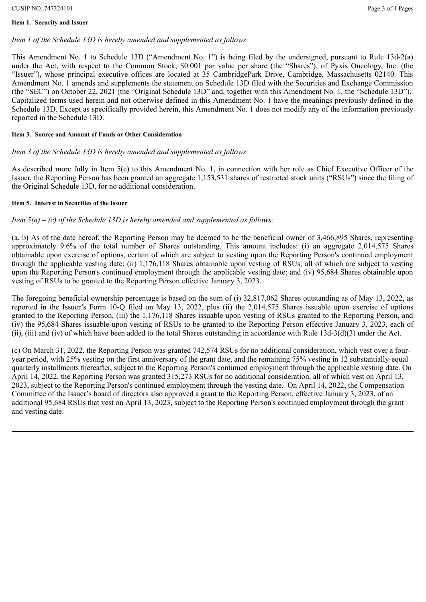# *Item 1 of the Schedule 13D is hereby amended and supplemented as follows:*

This Amendment No. 1 to Schedule 13D ("Amendment No. 1") is being filed by the undersigned, pursuant to Rule 13d-2(a) under the Act, with respect to the Common Stock, \$0.001 par value per share (the "Shares"), of Pyxis Oncology, Inc. (the "Issuer"), whose principal executive offices are located at 35 CambridgePark Drive, Cambridge, Massachusetts 02140. This Amendment No. 1 amends and supplements the statement on Schedule 13D filed with the Securities and Exchange Commission (the "SEC") on October 22, 2021 (the "Original Schedule 13D" and, together with this Amendment No. 1, the "Schedule 13D"). Capitalized terms used herein and not otherwise defined in this Amendment No. 1 have the meanings previously defined in the Schedule 13D. Except as specifically provided herein, this Amendment No. 1 does not modify any of the information previously reported in the Schedule 13D.

## **Item 3. Source and Amount of Funds or Other Consideration**

# *Item 3 of the Schedule 13D is hereby amended and supplemented as follows:*

As described more fully in Item 5(c) to this Amendment No. 1, in connection with her role as Chief Executive Officer of the Issuer, the Reporting Person has been granted an aggregate 1,153,531 shares of restricted stock units ("RSUs") since the filing of the Original Schedule 13D, for no additional consideration.

## **Item 5. Interest in Securities of the Issuer**

# *Item 5(a) – (c) of the Schedule 13D is hereby amended and supplemented as follows:*

(a, b) As of the date hereof, the Reporting Person may be deemed to be the beneficial owner of 3,466,895 Shares, representing approximately 9.6% of the total number of Shares outstanding. This amount includes: (i) an aggregate 2,014,575 Shares obtainable upon exercise of options, certain of which are subject to vesting upon the Reporting Person's continued employment through the applicable vesting date; (ii) 1,176,118 Shares obtainable upon vesting of RSUs, all of which are subject to vesting upon the Reporting Person's continued employment through the applicable vesting date; and (iv) 95,684 Shares obtainable upon vesting of RSUs to be granted to the Reporting Person effective January 3, 2023.

The foregoing beneficial ownership percentage is based on the sum of (i) 32,817,062 Shares outstanding as of May 13, 2022, as reported in the Issuer's Form 10-Q filed on May 13, 2022, plus (ii) the 2,014,575 Shares issuable upon exercise of options granted to the Reporting Person, (iii) the 1,176,118 Shares issuable upon vesting of RSUs granted to the Reporting Person, and (iv) the 95,684 Shares issuable upon vesting of RSUs to be granted to the Reporting Person effective January 3, 2023, each of (ii), (iii) and (iv) of which have been added to the total Shares outstanding in accordance with Rule 13d-3(d)(3) under the Act.

(c) On March 31, 2022, the Reporting Person was granted 742,574 RSUs for no additional consideration, which vest over a fouryear period, with 25% vesting on the first anniversary of the grant date, and the remaining 75% vesting in 12 substantially-equal quarterly installments thereafter, subject to the Reporting Person's continued employment through the applicable vesting date. On April 14, 2022, the Reporting Person was granted 315,273 RSUs for no additional consideration, all of which vest on April 13, 2023, subject to the Reporting Person's continued employment through the vesting date. On April 14, 2022, the Compensation Committee of the Issuer's board of directors also approved a grant to the Reporting Person, effective January 3, 2023, of an additional 95,684 RSUs that vest on April 13, 2023, subject to the Reporting Person's continued employment through the grant and vesting date.